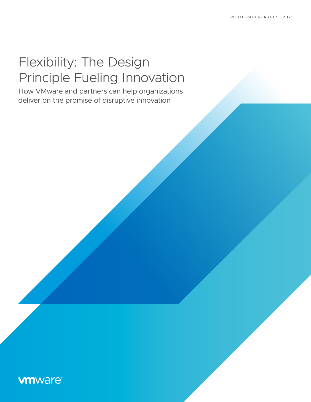# Flexibility: The Design Principle Fueling Innovation

How VMware and partners can help organizations deliver on the promise of disruptive innovation

## **vmware®**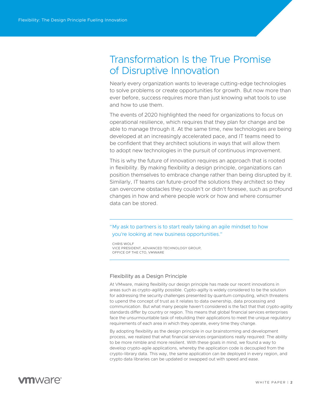# Transformation Is the True Promise of Disruptive Innovation

Nearly every organization wants to leverage cutting-edge technologies to solve problems or create opportunities for growth. But now more than ever before, success requires more than just knowing what tools to use and how to use them.

The events of 2020 highlighted the need for organizations to focus on operational resilience, which requires that they plan for change and be able to manage through it. At the same time, new technologies are being developed at an increasingly accelerated pace, and IT teams need to be confident that they architect solutions in ways that will allow them to adopt new technologies in the pursuit of continuous improvement.

This is why the future of innovation requires an approach that is rooted in flexibility. By making flexibility a design principle, organizations can position themselves to embrace change rather than being disrupted by it. Similarly, IT teams can future-proof the solutions they architect so they can overcome obstacles they couldn't or didn't foresee, such as profound changes in how and where people work or how and where consumer data can be stored.

"My ask to partners is to start really taking an agile mindset to how you're looking at new business opportunities."

CHRIS WOLF VICE PRESIDENT, ADVANCED TECHNOLOGY GROUP, OFFICE OF THE CTO, VMWARE

#### Flexibility as a Design Principle

At VMware, making flexibility our design principle has made our recent innovations in areas such as crypto-agility possible. Cypto-agilty is widely considered to be the solution for addressing the security challenges presented by quantum computing, which threatens to upend the concept of trust as it relates to data ownership, data processing and communication. But what many people haven't considered is the fact that that crypto-agility standards differ by country or region. This means that global financial services enterprises face the unsurmountable task of rebuilding their applications to meet the unique regulatory requirements of each area in which they operate, every time they change.

By adopting flexibility as the design principle in our brainstorming and development process, we realized that what financial services organizations really required: The ability to be more nimble and more resilient. With these goals in mind, we found a way to develop crypto-agile applications, whereby the application code is decoupled from the crypto-library data. This way, the same application can be deployed in every region, and crypto data libraries can be updated or swapped out with speed and ease.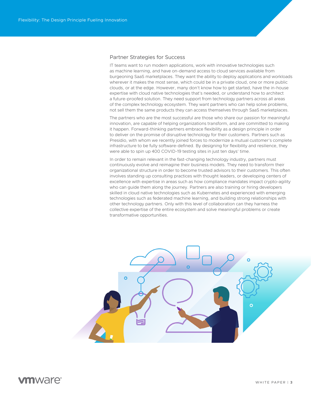#### Partner Strategies for Success

IT teams want to run modern applications, work with innovative technologies such as machine learning, and have on-demand access to cloud services available from burgeoning SaaS marketplaces. They want the ability to deploy applications and workloads wherever it makes the most sense, which could be in a private cloud, one or more public clouds, or at the edge. However, many don't know how to get started, have the in-house expertise with cloud native technologies that's needed, or understand how to architect a future-proofed solution. They need support from technology partners across all areas of the complex technology ecosystem. They want partners who can help solve problems, not sell them the same products they can access themselves through SaaS marketplaces.

The partners who are the most successful are those who share our passion for meaningful innovation, are capable of helping organizations transform, and are committed to making it happen. Forward-thinking partners embrace flexibility as a design principle in order to deliver on the promise of disruptive technology for their customers. Partners such as Presidio, with whom we recently joined forces to modernize a mutual customer's complete infrastructure to be fully software-defined. By designing for flexibility and resilience, they were able to spin up 400 COVID-19 testing sites in just ten days' time.

In order to remain relevant in the fast-changing technology industry, partners must continuously evolve and reimagine their business models. They need to transform their organizational structure in order to become trusted advisors to their customers. This often involves standing up consulting practices with thought leaders, or developing centers of excellence with expertise in areas such as how compliance mandates impact crypto-agility who can guide them along the journey. Partners are also training or hiring developers skilled in cloud native technologies such as Kubernetes and experienced with emerging technologies such as federated machine learning, and building strong relationships with other technology partners. Only with this level of collaboration can they harness the collective expertise of the entire ecosystem and solve meaningful problems or create transformative opportunities.

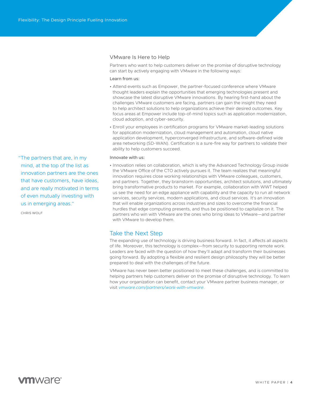"The partners that are, in my mind, at the top of the list as innovation partners are the ones that have customers, have ideas, and are really motivated in terms of even mutually investing with us in emerging areas."

CHRIS WOLF

### VMware Is Here to Help

Partners who want to help customers deliver on the promise of disruptive technology can start by actively engaging with VMware in the following ways:

#### Learn from us:

- Attend events such as Empower, the partner-focused conference where VMware thought leaders explain the opportunities that emerging technologies present and showcase the latest disruptive VMware innovations. By hearing first-hand about the challenges VMware customers are facing, partners can gain the insight they need to help architect solutions to help organizations achieve their desired outcomes. Key focus areas at Empower include top-of-mind topics such as application modernization, cloud adoption, and cyber-security.
- Enroll your employees in certification programs for VMware market-leading solutions for application modernization, cloud management and automation, cloud native application development, hyperconverged infrastructure, and software-defined wide area networking (SD-WAN). Certification is a sure-fire way for partners to validate their ability to help customers succeed.

#### Innovate with us:

• Innovation relies on collaboration, which is why the Advanced Technology Group inside the VMware Office of the CTO actively pursues it. The team realizes that meaningful innovation requires close working relationships with VMware colleagues, customers, and partners. Together, they brainstorm opportunities, architect solutions, and ultimately bring transformative products to market. For example, collaboration with WWT helped us see the need for an edge appliance with capability and the capacity to run all network services, security services, modern applications, and cloud services. It's an innovation that will enable organizations across industries and sizes to overcome the financial hurdles that edge computing presents, and thus be positioned to capitalize on it. The partners who win with VMware are the ones who bring ideas to VMware—and partner with VMware to develop them.

### Take the Next Step

The expanding use of technology is driving business forward. In fact, it affects all aspects of life. Moreover, this technology is complex—from security to supporting remote work. Leaders are faced with the question of how they'll adapt and transform their businesses going forward. By adopting a flexible and resilient design philosophy they will be better prepared to deal with the challenges of the future.

VMware has never been better positioned to meet these challenges, and is committed to helping partners help customers deliver on the promise of disruptive technology. To learn how your organization can benefit, contact your VMware partner business manager, or visit *[vmware.com/partners/work-with-vmware](http://vmware.com/partners/work-with-vmware)*.

### **vm**ware<sup>®</sup>